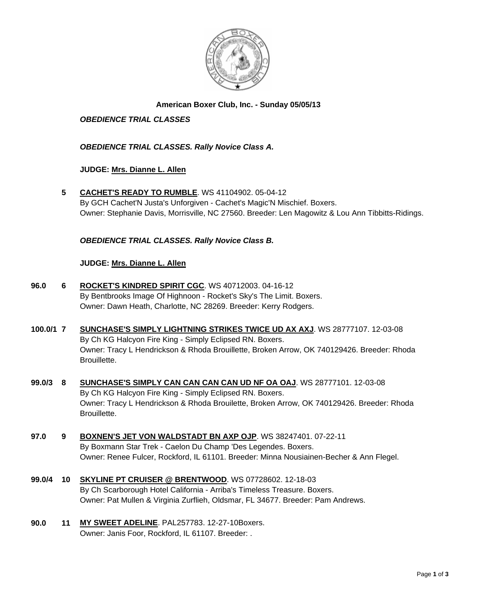

# **American Boxer Club, Inc. - Sunday 05/05/13**

# *OBEDIENCE TRIAL CLASSES*

## *OBEDIENCE TRIAL CLASSES. Rally Novice Class A.*

## **JUDGE: [Mrs. Dianne L. Allen](http://www.infodog.com/judges/5494/juddat.htm)**

**5 [CACHET'S READY TO RUMBLE](http://www.infodog.com/files/bdogrsl1.prg;makc=WS%2041104902;mdog=Cachet_s_Ready_To_Rumble;wins=all)**. WS 41104902. 05-04-12 By GCH Cachet'N Justa's Unforgiven - Cachet's Magic'N Mischief. Boxers. Owner: Stephanie Davis, Morrisville, NC 27560. Breeder: Len Magowitz & Lou Ann Tibbitts-Ridings.

## *OBEDIENCE TRIAL CLASSES. Rally Novice Class B.*

#### **JUDGE: [Mrs. Dianne L. Allen](http://www.infodog.com/judges/5494/juddat.htm)**

- **96.0 6 [ROCKET'S KINDRED SPIRIT CGC](http://www.infodog.com/files/bdogrsl1.prg;makc=WS%2040712003;mdog=Rocket_s_Kindred_Spirit_CGC;wins=all)**. WS 40712003. 04-16-12 By Bentbrooks Image Of Highnoon - Rocket's Sky's The Limit. Boxers. Owner: Dawn Heath, Charlotte, NC 28269. Breeder: Kerry Rodgers.
- **100.0/1 7 [SUNCHASE'S SIMPLY LIGHTNING STRIKES TWICE UD AX AXJ](http://www.infodog.com/files/bdogrsl1.prg;makc=WS%2028777107;mdog=Sunchase_s_Simply_Lightning_Strikes_Twice_UD_AX_AXJ;wins=all)**. WS 28777107. 12-03-08 By Ch KG Halcyon Fire King - Simply Eclipsed RN. Boxers. Owner: Tracy L Hendrickson & Rhoda Brouillette, Broken Arrow, OK 740129426. Breeder: Rhoda Brouillette.
- **99.0/3 8 [SUNCHASE'S SIMPLY CAN CAN CAN CAN UD NF OA OAJ](http://www.infodog.com/files/bdogrsl1.prg;makc=WS%2028777101;mdog=Sunchase_s_Simply_Can_Can_Can_Can_UD_NF_OA_OAJ;wins=all)**. WS 28777101. 12-03-08 By Ch KG Halcyon Fire King - Simply Eclipsed RN. Boxers. Owner: Tracy L Hendrickson & Rhoda Brouilette, Broken Arrow, OK 740129426. Breeder: Rhoda Brouillette.
- **97.0 9 [BOXNEN'S JET VON WALDSTADT BN AXP OJP](http://www.infodog.com/files/bdogrsl1.prg;makc=WS%2038247401;mdog=Boxnen_s_Jet_Von_Waldstadt_BN_AXP_OJP;wins=all)**. WS 38247401. 07-22-11 By Boxmann Star Trek - Caelon Du Champ 'Des Legendes. Boxers. Owner: Renee Fulcer, Rockford, IL 61101. Breeder: Minna Nousiainen-Becher & Ann Flegel.
- **99.0/4 10 [SKYLINE PT CRUISER @ BRENTWOOD](http://www.infodog.com/files/bdogrsl1.prg;makc=WS%2007728602;mdog=Skyline_PT_Cruiser_@_Brentwood;wins=all)**. WS 07728602. 12-18-03 By Ch Scarborough Hotel California - Arriba's Timeless Treasure. Boxers. Owner: Pat Mullen & Virginia Zurflieh, Oldsmar, FL 34677. Breeder: Pam Andrews.
- **90.0 11 [MY SWEET ADELINE](http://www.infodog.com/files/bdogrsl1.prg;makc=PAL257783;mdog=My_Sweet_Adeline;wins=all)**. PAL257783. 12-27-10Boxers. Owner: Janis Foor, Rockford, IL 61107. Breeder: .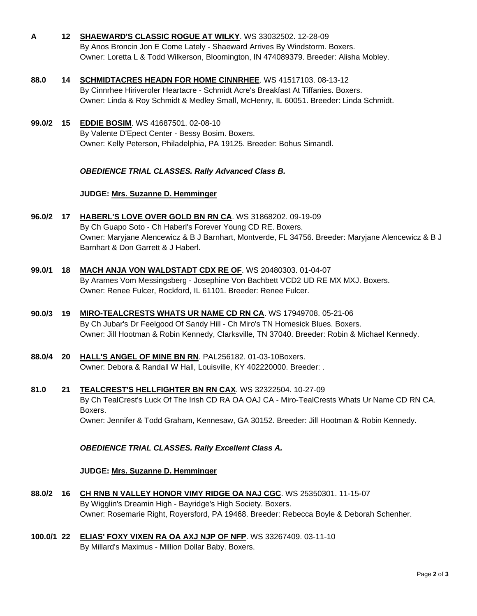- **A 12 [SHAEWARD'S CLASSIC ROGUE AT WILKY](http://www.infodog.com/files/bdogrsl1.prg;makc=WS%2033032502;mdog=Shaeward_s_Classic_Rogue_At_Wilky;wins=all)**. WS 33032502. 12-28-09 By Anos Broncin Jon E Come Lately - Shaeward Arrives By Windstorm. Boxers. Owner: Loretta L & Todd Wilkerson, Bloomington, IN 474089379. Breeder: Alisha Mobley.
- **88.0 14 [SCHMIDTACRES HEADN FOR HOME CINNRHEE](http://www.infodog.com/files/bdogrsl1.prg;makc=WS%2041517103;mdog=Schmidtacres_Headn_For_Home_Cinnrhee;wins=all)**. WS 41517103. 08-13-12 By Cinnrhee Hiriveroler Heartacre - Schmidt Acre's Breakfast At Tiffanies. Boxers. Owner: Linda & Roy Schmidt & Medley Small, McHenry, IL 60051. Breeder: Linda Schmidt.
- **99.0/2 15 [EDDIE BOSIM](http://www.infodog.com/files/bdogrsl1.prg;makc=WS%2041687501;mdog=Eddie_Bosim;wins=all)**. WS 41687501. 02-08-10 By Valente D'Epect Center - Bessy Bosim. Boxers. Owner: Kelly Peterson, Philadelphia, PA 19125. Breeder: Bohus Simandl.

## *OBEDIENCE TRIAL CLASSES. Rally Advanced Class B.*

## **JUDGE: [Mrs. Suzanne D. Hemminger](http://www.infodog.com/judges/15146/juddat.htm)**

- **96.0/2 17 [HABERL'S LOVE OVER GOLD BN RN CA](http://www.infodog.com/files/bdogrsl1.prg;makc=WS%2031868202;mdog=Haberl_s_Love_Over_Gold_BN_RN_CA;wins=all)**. WS 31868202. 09-19-09 By Ch Guapo Soto - Ch Haberl's Forever Young CD RE. Boxers. Owner: Maryjane Alencewicz & B J Barnhart, Montverde, FL 34756. Breeder: Maryjane Alencewicz & B J Barnhart & Don Garrett & J Haberl.
- **99.0/1 18 [MACH ANJA VON WALDSTADT CDX RE OF](http://www.infodog.com/files/bdogrsl1.prg;makc=WS%2020480303;mdog=MACH_Anja_Von_Waldstadt_CDX_RE_OF;wins=all)**. WS 20480303. 01-04-07 By Arames Vom Messingsberg - Josephine Von Bachbett VCD2 UD RE MX MXJ. Boxers. Owner: Renee Fulcer, Rockford, IL 61101. Breeder: Renee Fulcer.
- **90.0/3 19 [MIRO-TEALCRESTS WHATS UR NAME CD RN CA](http://www.infodog.com/files/bdogrsl1.prg;makc=WS%2017949708;mdog=Miro-Tealcrests_Whats_Ur_Name_CD_RN_CA;wins=all)**. WS 17949708. 05-21-06 By Ch Jubar's Dr Feelgood Of Sandy Hill - Ch Miro's TN Homesick Blues. Boxers. Owner: Jill Hootman & Robin Kennedy, Clarksville, TN 37040. Breeder: Robin & Michael Kennedy.
- **88.0/4 20 [HALL'S ANGEL OF MINE BN RN](http://www.infodog.com/files/bdogrsl1.prg;makc=PAL256182;mdog=Hall_s_Angel_Of_Mine_BN_RN;wins=all)**. PAL256182. 01-03-10Boxers. Owner: Debora & Randall W Hall, Louisville, KY 402220000. Breeder: .
- **81.0 21 [TEALCREST'S HELLFIGHTER BN RN CAX](http://www.infodog.com/files/bdogrsl1.prg;makc=WS%2032322504;mdog=TealCrest_s_Hellfighter_BN_RN_CAX;wins=all)**. WS 32322504. 10-27-09 By Ch TealCrest's Luck Of The Irish CD RA OA OAJ CA - Miro-TealCrests Whats Ur Name CD RN CA. Boxers. Owner: Jennifer & Todd Graham, Kennesaw, GA 30152. Breeder: Jill Hootman & Robin Kennedy.

*OBEDIENCE TRIAL CLASSES. Rally Excellent Class A.*

#### **JUDGE: [Mrs. Suzanne D. Hemminger](http://www.infodog.com/judges/15146/juddat.htm)**

- **88.0/2 16 [CH RNB N VALLEY HONOR VIMY RIDGE OA NAJ CGC](http://www.infodog.com/files/bdogrsl1.prg;makc=WS%2025350301;mdog=Ch_RNB_N_Valley_Honor_Vimy_Ridge_OA_NAJ_CGC;wins=all)**. WS 25350301. 11-15-07 By Wigglin's Dreamin High - Bayridge's High Society. Boxers. Owner: Rosemarie Right, Royersford, PA 19468. Breeder: Rebecca Boyle & Deborah Schenher.
- **100.0/1 22 [ELIAS' FOXY VIXEN RA OA AXJ NJP OF NFP](http://www.infodog.com/files/bdogrsl1.prg;makc=WS%2033267409;mdog=Elias__Foxy_Vixen_RA_OA_AXJ_NJP_OF_NFP;wins=all)**. WS 33267409. 03-11-10 By Millard's Maximus - Million Dollar Baby. Boxers.